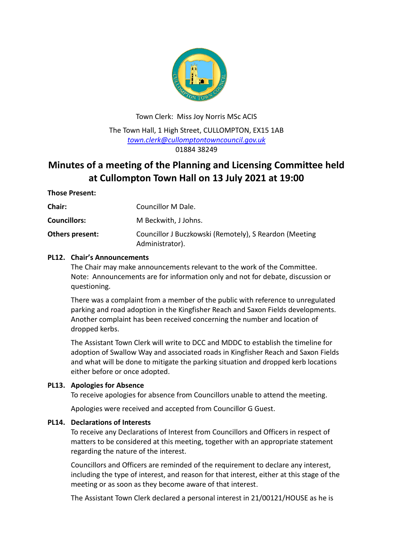

Town Clerk: Miss Joy Norris MSc ACIS The Town Hall, 1 High Street, CULLOMPTON, EX15 1AB *[town.clerk@cullomptontowncouncil.gov.uk](mailto:town.clerk@cullomptontowncouncil.gov.uk)* 01884 38249

# **Minutes of a meeting of the Planning and Licensing Committee held at Cullompton Town Hall on 13 July 2021 at 19:00**

**Those Present:**

**Chair:** Councillor M Dale.

**Councillors:** M Beckwith, J Johns.

**Others present:** Councillor J Buczkowski (Remotely), S Reardon (Meeting Administrator).

# **PL12. Chair's Announcements**

The Chair may make announcements relevant to the work of the Committee. Note: Announcements are for information only and not for debate, discussion or questioning.

There was a complaint from a member of the public with reference to unregulated parking and road adoption in the Kingfisher Reach and Saxon Fields developments. Another complaint has been received concerning the number and location of dropped kerbs.

The Assistant Town Clerk will write to DCC and MDDC to establish the timeline for adoption of Swallow Way and associated roads in Kingfisher Reach and Saxon Fields and what will be done to mitigate the parking situation and dropped kerb locations either before or once adopted.

# **PL13. Apologies for Absence**

To receive apologies for absence from Councillors unable to attend the meeting.

Apologies were received and accepted from Councillor G Guest.

# **PL14. Declarations of Interests**

To receive any Declarations of Interest from Councillors and Officers in respect of matters to be considered at this meeting, together with an appropriate statement regarding the nature of the interest.

Councillors and Officers are reminded of the requirement to declare any interest, including the type of interest, and reason for that interest, either at this stage of the meeting or as soon as they become aware of that interest.

The Assistant Town Clerk declared a personal interest in 21/00121/HOUSE as he is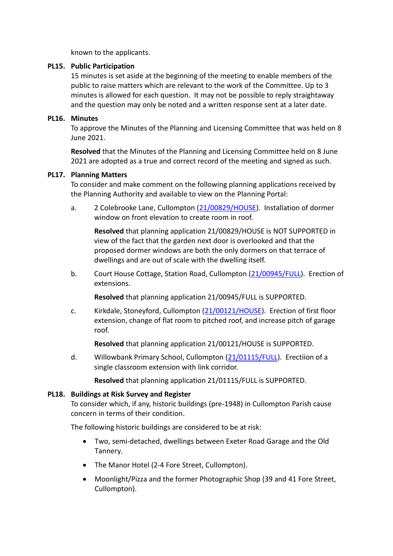known to the applicants.

## **PL15. Public Participation**

15 minutes is set aside at the beginning of the meeting to enable members of the public to raise matters which are relevant to the work of the Committee. Up to 3 minutes is allowed for each question. It may not be possible to reply straightaway and the question may only be noted and a written response sent at a later date.

## **PL16. Minutes**

To approve the Minutes of the Planning and Licensing Committee that was held on 8 June 2021.

**Resolved** that the Minutes of the Planning and Licensing Committee held on 8 June 2021 are adopted as a true and correct record of the meeting and signed as such.

## **PL17. Planning Matters**

To consider and make comment on the following planning applications received by the Planning Authority and available to view on the Planning Portal:

a. 2 Colebrooke Lane, Cullompton [\(21/00829/HOUSE\)](https://planning.middevon.gov.uk/online-applications/applicationDetails.do?activeTab=documents&keyVal=QS9VIZKS05K00). Installation of dormer window on front elevation to create room in roof.

**Resolved** that planning application 21/00829/HOUSE is NOT SUPPORTED in view of the fact that the garden next door is overlooked and that the proposed dormer windows are both the only dormers on that terrace of dwellings and are out of scale with the dwelling itself.

b. Court House Cottage, Station Road, Cullompton [\(21/00945/FULL\)](https://planning.middevon.gov.uk/online-applications/applicationDetails.do?activeTab=documents&keyVal=QT8OTXKS07T00). Erection of extensions.

**Resolved** that planning application 21/00945/FULL is SUPPORTED.

c. Kirkdale, Stoneyford, Cullompton [\(21/00121/HOUSE\)](https://planning.middevon.gov.uk/online-applications/applicationDetails.do?activeTab=documents&keyVal=QNHFAXKS07T00). Erection of first floor extension, change of flat room to pitched roof, and increase pitch of garage roof.

**Resolved** that planning application 21/00121/HOUSE is SUPPORTED.

d. Willowbank Primary School, Cullompton [\(21/01115/FULL\)](https://planning.middevon.gov.uk/online-applications/applicationDetails.do?activeTab=documents&keyVal=QUE3NRKS04G00). Erectiion of a single classroom extension with link corridor.

**Resolved** that planning application 21/01115/FULL is SUPPORTED.

#### **PL18. Buildings at Risk Survey and Register**

To consider which, if any, historic buildings (pre-1948) in Cullompton Parish cause concern in terms of their condition.

The following historic buildings are considered to be at risk:

- Two, semi-detached, dwellings between Exeter Road Garage and the Old Tannery.
- The Manor Hotel (2-4 Fore Street, Cullompton).
- Moonlight/Pizza and the former Photographic Shop (39 and 41 Fore Street, Cullompton).